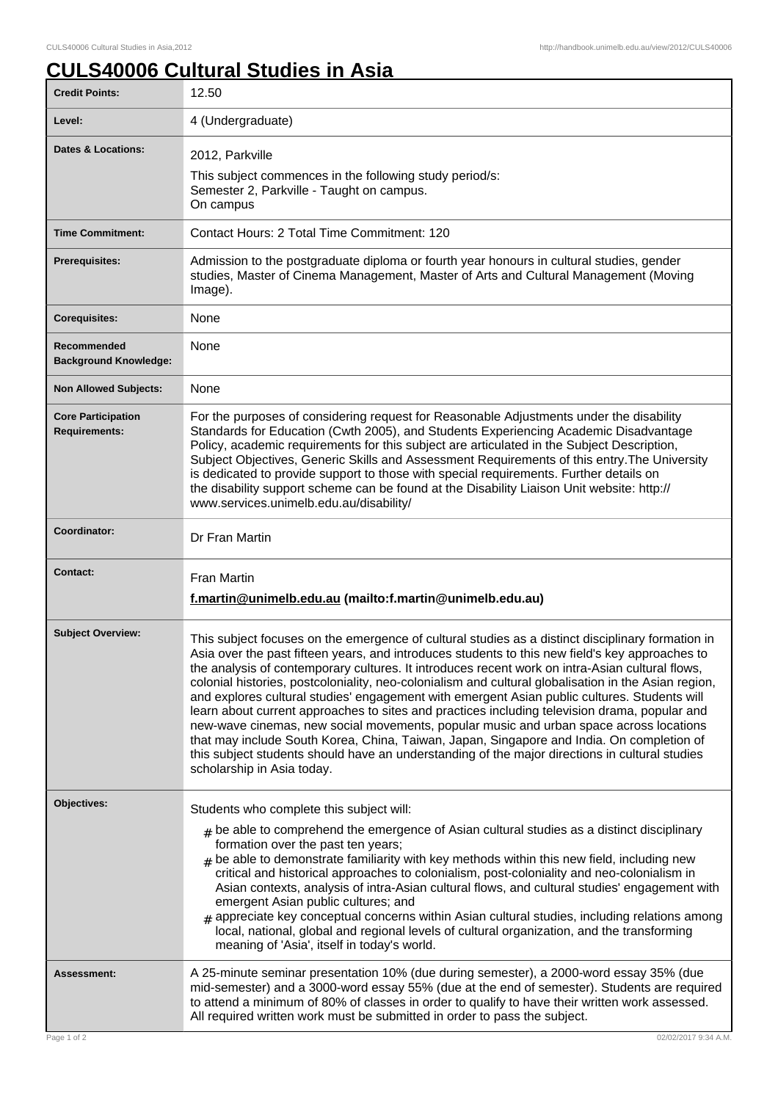## **CULS40006 Cultural Studies in Asia**

| <b>Credit Points:</b>                             | 12.50                                                                                                                                                                                                                                                                                                                                                                                                                                                                                                                                                                                                                                                                                                                                                                                                                                                                                                                                   |
|---------------------------------------------------|-----------------------------------------------------------------------------------------------------------------------------------------------------------------------------------------------------------------------------------------------------------------------------------------------------------------------------------------------------------------------------------------------------------------------------------------------------------------------------------------------------------------------------------------------------------------------------------------------------------------------------------------------------------------------------------------------------------------------------------------------------------------------------------------------------------------------------------------------------------------------------------------------------------------------------------------|
| Level:                                            | 4 (Undergraduate)                                                                                                                                                                                                                                                                                                                                                                                                                                                                                                                                                                                                                                                                                                                                                                                                                                                                                                                       |
| <b>Dates &amp; Locations:</b>                     | 2012, Parkville<br>This subject commences in the following study period/s:<br>Semester 2, Parkville - Taught on campus.<br>On campus                                                                                                                                                                                                                                                                                                                                                                                                                                                                                                                                                                                                                                                                                                                                                                                                    |
| <b>Time Commitment:</b>                           | Contact Hours: 2 Total Time Commitment: 120                                                                                                                                                                                                                                                                                                                                                                                                                                                                                                                                                                                                                                                                                                                                                                                                                                                                                             |
| <b>Prerequisites:</b>                             | Admission to the postgraduate diploma or fourth year honours in cultural studies, gender<br>studies, Master of Cinema Management, Master of Arts and Cultural Management (Moving<br>Image).                                                                                                                                                                                                                                                                                                                                                                                                                                                                                                                                                                                                                                                                                                                                             |
| <b>Corequisites:</b>                              | None                                                                                                                                                                                                                                                                                                                                                                                                                                                                                                                                                                                                                                                                                                                                                                                                                                                                                                                                    |
| Recommended<br><b>Background Knowledge:</b>       | None                                                                                                                                                                                                                                                                                                                                                                                                                                                                                                                                                                                                                                                                                                                                                                                                                                                                                                                                    |
| <b>Non Allowed Subjects:</b>                      | None                                                                                                                                                                                                                                                                                                                                                                                                                                                                                                                                                                                                                                                                                                                                                                                                                                                                                                                                    |
| <b>Core Participation</b><br><b>Requirements:</b> | For the purposes of considering request for Reasonable Adjustments under the disability<br>Standards for Education (Cwth 2005), and Students Experiencing Academic Disadvantage<br>Policy, academic requirements for this subject are articulated in the Subject Description,<br>Subject Objectives, Generic Skills and Assessment Requirements of this entry. The University<br>is dedicated to provide support to those with special requirements. Further details on<br>the disability support scheme can be found at the Disability Liaison Unit website: http://<br>www.services.unimelb.edu.au/disability/                                                                                                                                                                                                                                                                                                                        |
| Coordinator:                                      | Dr Fran Martin                                                                                                                                                                                                                                                                                                                                                                                                                                                                                                                                                                                                                                                                                                                                                                                                                                                                                                                          |
| <b>Contact:</b>                                   | <b>Fran Martin</b><br>f.martin@unimelb.edu.au (mailto:f.martin@unimelb.edu.au)                                                                                                                                                                                                                                                                                                                                                                                                                                                                                                                                                                                                                                                                                                                                                                                                                                                          |
| <b>Subject Overview:</b>                          | This subject focuses on the emergence of cultural studies as a distinct disciplinary formation in<br>Asia over the past fifteen years, and introduces students to this new field's key approaches to<br>the analysis of contemporary cultures. It introduces recent work on intra-Asian cultural flows,<br>colonial histories, postcoloniality, neo-colonialism and cultural globalisation in the Asian region,<br>and explores cultural studies' engagement with emergent Asian public cultures. Students will<br>learn about current approaches to sites and practices including television drama, popular and<br>new-wave cinemas, new social movements, popular music and urban space across locations<br>that may include South Korea, China, Taiwan, Japan, Singapore and India. On completion of<br>this subject students should have an understanding of the major directions in cultural studies<br>scholarship in Asia today. |
| Objectives:                                       | Students who complete this subject will:<br>$_{\#}$ be able to comprehend the emergence of Asian cultural studies as a distinct disciplinary<br>formation over the past ten years;<br>$#$ be able to demonstrate familiarity with key methods within this new field, including new<br>critical and historical approaches to colonialism, post-coloniality and neo-colonialism in<br>Asian contexts, analysis of intra-Asian cultural flows, and cultural studies' engagement with<br>emergent Asian public cultures; and<br>$_{\#}$ appreciate key conceptual concerns within Asian cultural studies, including relations among<br>local, national, global and regional levels of cultural organization, and the transforming<br>meaning of 'Asia', itself in today's world.                                                                                                                                                            |
| Assessment:                                       | A 25-minute seminar presentation 10% (due during semester), a 2000-word essay 35% (due<br>mid-semester) and a 3000-word essay 55% (due at the end of semester). Students are required<br>to attend a minimum of 80% of classes in order to qualify to have their written work assessed.<br>All required written work must be submitted in order to pass the subject.                                                                                                                                                                                                                                                                                                                                                                                                                                                                                                                                                                    |
| Page 1 of 2                                       | 02/02/2017 9:34 A.M.                                                                                                                                                                                                                                                                                                                                                                                                                                                                                                                                                                                                                                                                                                                                                                                                                                                                                                                    |